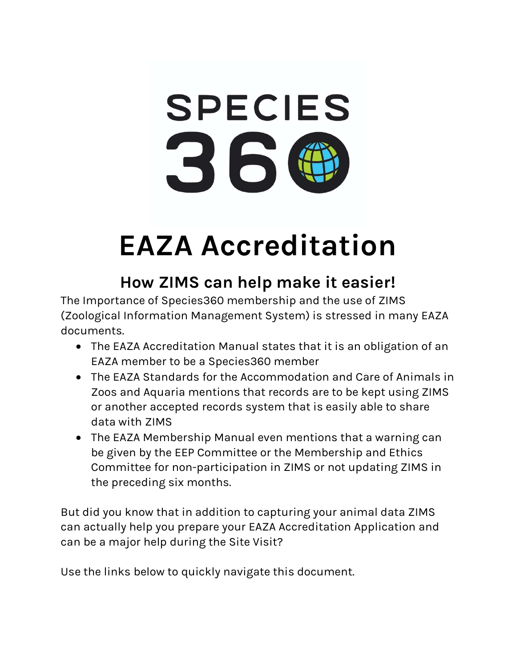

# EAZA Accreditation

## How ZIMS can help make it easier!

The Importance of Species360 membership and the use of ZIMS (Zoological Information Management System) is stressed in many EAZA documents.

- The EAZA Accreditation Manual states that it is an obligation of an EAZA member to be a Species360 member
- The EAZA Standards for the Accommodation and Care of Animals in Zoos and Aquaria mentions that records are to be kept using ZIMS or another accepted records system that is easily able to share data with ZIMS
- The EAZA Membership Manual even mentions that a warning can be given by the EEP Committee or the Membership and Ethics Committee for non-participation in ZIMS or not updating ZIMS in the preceding six months.

But did you know that in addition to capturing your animal data ZIMS can actually help you prepare your EAZA Accreditation Application and can be a major help during the Site Visit?

Use the links below to quickly navigate this document.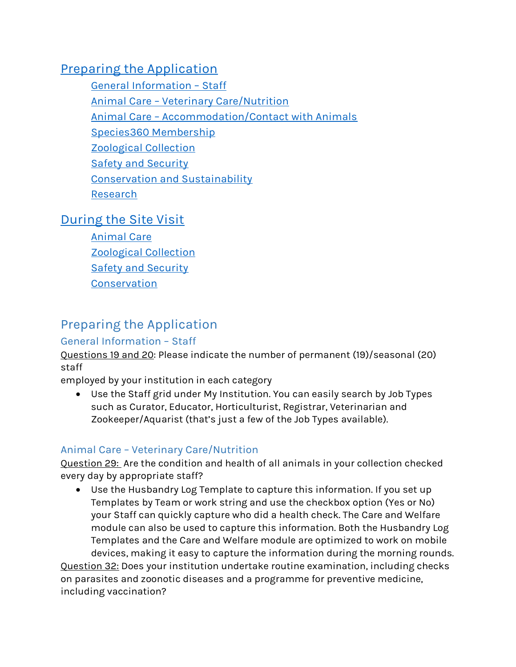## Preparing the Application

General Information – Staff Animal Care – Veterinary Care/Nutrition Animal Care – Accommodation/Contact with Animals Species360 Membership Zoological Collection Safety and Security Conservation and Sustainability Research

## During the Site Visit

Animal Care Zoological Collection Safety and Security **Conservation** 

## Preparing the Application

## General Information – Staff

Questions 19 and 20: Please indicate the number of permanent (19)/seasonal (20) staff

employed by your institution in each category

 Use the Staff grid under My Institution. You can easily search by Job Types such as Curator, Educator, Horticulturist, Registrar, Veterinarian and Zookeeper/Aquarist (that's just a few of the Job Types available).

## Animal Care – Veterinary Care/Nutrition

Question 29: Are the condition and health of all animals in your collection checked every day by appropriate staff?

 Use the Husbandry Log Template to capture this information. If you set up Templates by Team or work string and use the checkbox option (Yes or No) your Staff can quickly capture who did a health check. The Care and Welfare module can also be used to capture this information. Both the Husbandry Log Templates and the Care and Welfare module are optimized to work on mobile devices, making it easy to capture the information during the morning rounds.

Question 32: Does your institution undertake routine examination, including checks on parasites and zoonotic diseases and a programme for preventive medicine, including vaccination?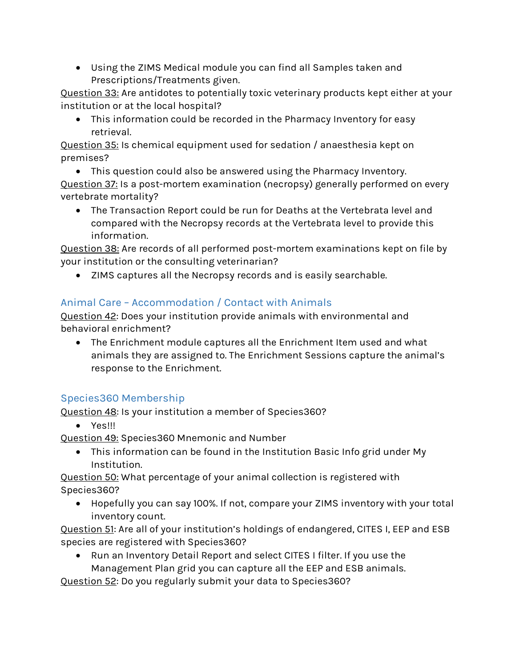Using the ZIMS Medical module you can find all Samples taken and Prescriptions/Treatments given.

Question 33: Are antidotes to potentially toxic veterinary products kept either at your institution or at the local hospital?

 This information could be recorded in the Pharmacy Inventory for easy retrieval.

Question 35: Is chemical equipment used for sedation / anaesthesia kept on premises?

 This question could also be answered using the Pharmacy Inventory. Question 37: Is a post-mortem examination (necropsy) generally performed on every vertebrate mortality?

 The Transaction Report could be run for Deaths at the Vertebrata level and compared with the Necropsy records at the Vertebrata level to provide this information.

Question 38: Are records of all performed post-mortem examinations kept on file by your institution or the consulting veterinarian?

ZIMS captures all the Necropsy records and is easily searchable.

## Animal Care – Accommodation / Contact with Animals

Question 42: Does your institution provide animals with environmental and behavioral enrichment?

 The Enrichment module captures all the Enrichment Item used and what animals they are assigned to. The Enrichment Sessions capture the animal's response to the Enrichment.

## Species360 Membership

Question 48: Is your institution a member of Species360?

Yes!!!

Question 49: Species360 Mnemonic and Number

 This information can be found in the Institution Basic Info grid under My Institution.

Question 50: What percentage of your animal collection is registered with Species360?

 Hopefully you can say 100%. If not, compare your ZIMS inventory with your total inventory count.

Question 51: Are all of your institution's holdings of endangered, CITES I, EEP and ESB species are registered with Species360?

 Run an Inventory Detail Report and select CITES I filter. If you use the Management Plan grid you can capture all the EEP and ESB animals.

Question 52: Do you regularly submit your data to Species360?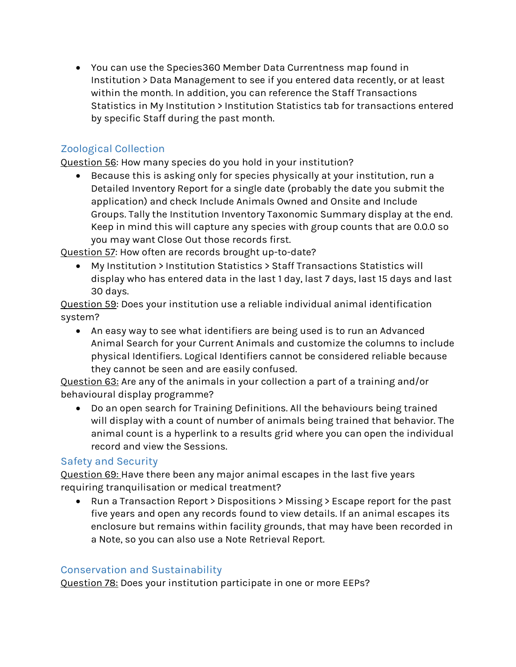You can use the Species360 Member Data Currentness map found in Institution > Data Management to see if you entered data recently, or at least within the month. In addition, you can reference the Staff Transactions Statistics in My Institution > Institution Statistics tab for transactions entered by specific Staff during the past month.

## Zoological Collection

Question 56: How many species do you hold in your institution?

 Because this is asking only for species physically at your institution, run a Detailed Inventory Report for a single date (probably the date you submit the application) and check Include Animals Owned and Onsite and Include Groups. Tally the Institution Inventory Taxonomic Summary display at the end. Keep in mind this will capture any species with group counts that are 0.0.0 so you may want Close Out those records first.

Question 57: How often are records brought up-to-date?

 My Institution > Institution Statistics > Staff Transactions Statistics will display who has entered data in the last 1 day, last 7 days, last 15 days and last 30 days.

Question 59: Does your institution use a reliable individual animal identification system?

 An easy way to see what identifiers are being used is to run an Advanced Animal Search for your Current Animals and customize the columns to include physical Identifiers. Logical Identifiers cannot be considered reliable because they cannot be seen and are easily confused.

Question 63: Are any of the animals in your collection a part of a training and/or behavioural display programme?

 Do an open search for Training Definitions. All the behaviours being trained will display with a count of number of animals being trained that behavior. The animal count is a hyperlink to a results grid where you can open the individual record and view the Sessions.

## Safety and Security

Question 69: Have there been any major animal escapes in the last five years requiring tranquilisation or medical treatment?

 Run a Transaction Report > Dispositions > Missing > Escape report for the past five years and open any records found to view details. If an animal escapes its enclosure but remains within facility grounds, that may have been recorded in a Note, so you can also use a Note Retrieval Report.

## Conservation and Sustainability

Question 78: Does your institution participate in one or more EEPs?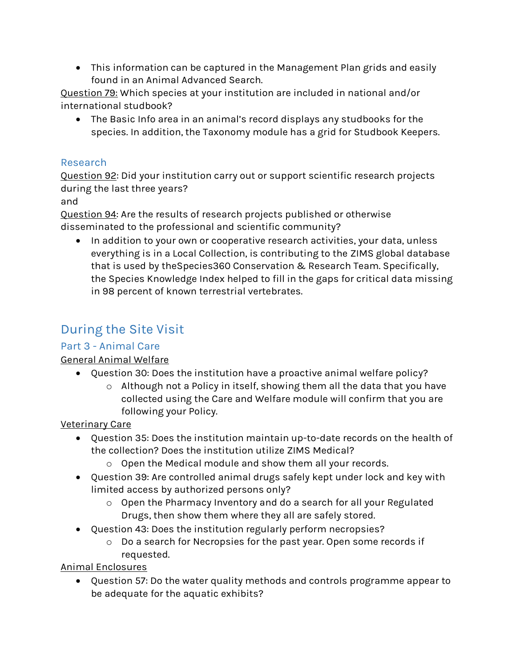This information can be captured in the Management Plan grids and easily found in an Animal Advanced Search.

Question 79: Which species at your institution are included in national and/or international studbook?

 The Basic Info area in an animal's record displays any studbooks for the species. In addition, the Taxonomy module has a grid for Studbook Keepers.

## Research

Question 92: Did your institution carry out or support scientific research projects during the last three years?

and

Question 94: Are the results of research projects published or otherwise disseminated to the professional and scientific community?

• In addition to your own or cooperative research activities, your data, unless everything is in a Local Collection, is contributing to the ZIMS global database that is used by theSpecies360 Conservation & Research Team. Specifically, the Species Knowledge Index helped to fill in the gaps for critical data missing in 98 percent of known terrestrial vertebrates.

## During the Site Visit

## Part 3 - Animal Care

## General Animal Welfare

- Question 30: Does the institution have a proactive animal welfare policy?
	- o Although not a Policy in itself, showing them all the data that you have collected using the Care and Welfare module will confirm that you are following your Policy.

#### Veterinary Care

- Question 35: Does the institution maintain up-to-date records on the health of the collection? Does the institution utilize ZIMS Medical?
	- o Open the Medical module and show them all your records.
- Question 39: Are controlled animal drugs safely kept under lock and key with limited access by authorized persons only?
	- o Open the Pharmacy Inventory and do a search for all your Regulated Drugs, then show them where they all are safely stored.
- Question 43: Does the institution regularly perform necropsies?
	- o Do a search for Necropsies for the past year. Open some records if requested.

Animal Enclosures

 Question 57: Do the water quality methods and controls programme appear to be adequate for the aquatic exhibits?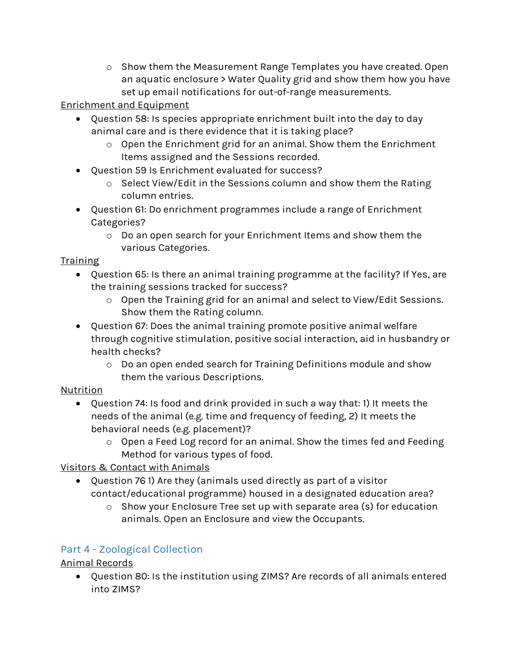o Show them the Measurement Range Templates you have created. Open an aquatic enclosure > Water Quality grid and show them how you have set up email notifications for out-of-range measurements.

## Enrichment and Equipment

- Question 58: Is species appropriate enrichment built into the day to day animal care and is there evidence that it is taking place?
	- o Open the Enrichment grid for an animal. Show them the Enrichment Items assigned and the Sessions recorded.
- Question 59 Is Enrichment evaluated for success?
	- o Select View/Edit in the Sessions column and show them the Rating column entries.
- Question 61: Do enrichment programmes include a range of Enrichment Categories?
	- o Do an open search for your Enrichment Items and show them the various Categories.

#### Training

- Question 65: Is there an animal training programme at the facility? If Yes, are the training sessions tracked for success?
	- o Open the Training grid for an animal and select to View/Edit Sessions. Show them the Rating column.
- Question 67: Does the animal training promote positive animal welfare through cognitive stimulation, positive social interaction, aid in husbandry or health checks?
	- o Do an open ended search for Training Definitions module and show them the various Descriptions.

## Nutrition

- Question 74: Is food and drink provided in such a way that: 1) It meets the needs of the animal (e.g. time and frequency of feeding, 2) It meets the behavioral needs (e.g. placement)?
	- o Open a Feed Log record for an animal. Show the times fed and Feeding Method for various types of food.

Visitors & Contact with Animals

- Question 76 1) Are they (animals used directly as part of a visitor contact/educational programme) housed in a designated education area?
	- o Show your Enclosure Tree set up with separate area (s) for education animals. Open an Enclosure and view the Occupants.

## Part 4 - Zoological Collection

## Animal Records

 Question 80: Is the institution using ZIMS? Are records of all animals entered into ZIMS?